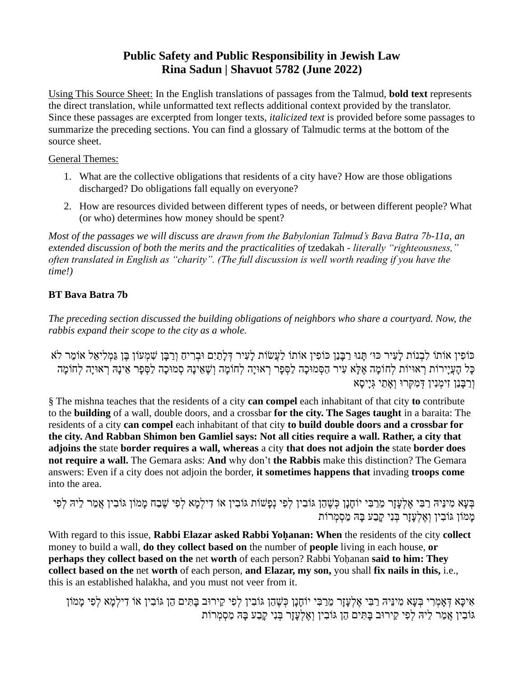# **Public Safety and Public Responsibility in Jewish Law Rina Sadun | Shavuot 5782 (June 2022)**

Using This Source Sheet: In the English translations of passages from the Talmud, **bold text** represents the direct translation, while unformatted text reflects additional context provided by the translator. Since these passages are excerpted from longer texts, *italicized text* is provided before some passages to summarize the preceding sections. You can find a glossary of Talmudic terms at the bottom of the source sheet.

### General Themes:

- 1. What are the collective obligations that residents of a city have? How are those obligations discharged? Do obligations fall equally on everyone?
- 2. How are resources divided between different types of needs, or between different people? What (or who) determines how money should be spent?

*Most of the passages we will discuss are drawn from the Babylonian Talmud's Bava Batra 7b-11a, an extended discussion of both the merits and the practicalities of* tzedakah *- literally "righteousness," often translated in English as "charity". (The full discussion is well worth reading if you have the time!)*

## **BT Bava Batra 7b**

*The preceding section discussed the building obligations of neighbors who share a courtyard. Now, the rabbis expand their scope to the city as a whole.*

ּכּוֹפִין אוֹתוֹ לִבְנוֹת לַעִּיר כּוּ׳ תַּנוּ רַבְּנַן כּוֹפִין אוֹתוֹ לַעֲשׂוֹת לַעִיר דְלַתַיִם וּבְרִיחַ וְרַבֵּן שָׁמְעוֹן בֵּן גַּמְלִיאֵל אוֹמֵר לֹא ָּכָל הָעֲיַירוֹת רְאוּיוֹת לְחוֹמַה אֶלָּא עִיר הַסְמוּכַה לַסְפָר רְאוּיַה לְחוֹמַה וְשֶׁאֵינַה סְמוּכַה לַסְפָר אֵינַהּ רְאוּיַה לְחוֹמַה וְ רַ בָנַן זִימְ נִין דְ מִ קְרּו וְ אָ תֵ י גְ יָיסָ א

§ The mishna teaches that the residents of a city **can compel** each inhabitant of that city **to** contribute to the **building** of a wall, double doors, and a crossbar **for the city. The Sages taught** in a baraita: The residents of a city **can compel** each inhabitant of that city **to build double doors and a crossbar for the city. And Rabban Shimon ben Gamliel says: Not all cities require a wall. Rather, a city that adjoins the** state **border requires a wall, whereas** a city **that does not adjoin the** state **border does not require a wall.** The Gemara asks: **And** why don't **the Rabbis** make this distinction? The Gemara answers: Even if a city does not adjoin the border, **it sometimes happens that** invading **troops come** into the area.

בְּעָא מִינֵּיהּ רַבִּי אֵלְעֲזַר מֵרַבִּי יוֹחַנֵן כִּשֶׁהֶן גּוֹבִין לְפִי נִפְשׁוֹת גּוֹבִין אוֹ דִילְמֵא לְפִי שֶׁבַח מַמוֹן גּוֹבְין אֲמַר לֵיהּ לְפִי ממון גּוֹבִין וְאלְעזֶר בְּנֵי קָבַע בַּה מַסְמְרוֹת

With regard to this issue, **Rabbi Elazar asked Rabbi Yohanan: When** the residents of the city **collect** money to build a wall, **do they collect based on** the number of **people** living in each house, **or perhaps they collect based on the** net **worth** of each person? Rabbi Yoḥanan **said to him: They collect based on the** net **worth** of each person, **and Elazar, my son,** you shall **fix nails in this,** i.e., this is an established halakha, and you must not veer from it.

אִיכָא דְאָמְרִי בְּעָא מִינֵּיהּ רַבִּי אֶלְעָזָר מֵרַבִּי יוֹחָנָן כְּשֶׁהֵן גּוֹבִין לְפִי קֵירוּב בָּתִּים הֵן גּוֹבִין אוֹ דִילְמָא לְפִי מָמֹוֹן גּוֹבְין אֲמַר לֵיּהּ לִפִי קֵירוּב בַּתִּים הֶן גּוֹבְין וְאֱלְעֲזַר בְּנִי קַבַע בַּהּ מַסְמְרוֹת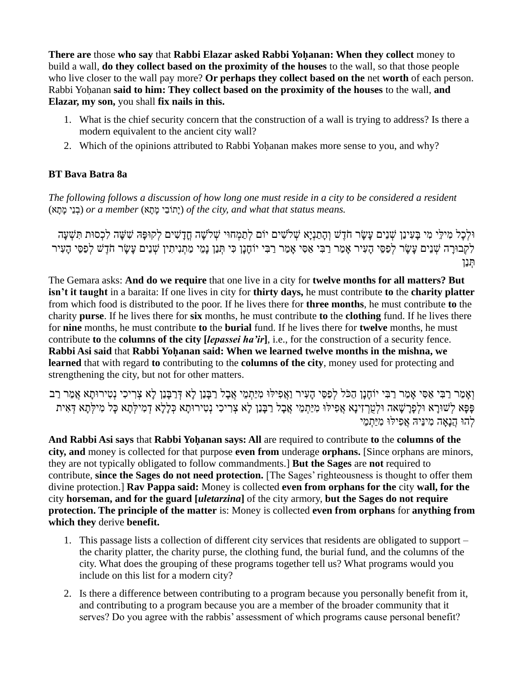**There are** those **who say** that **Rabbi Elazar asked Rabbi Yoḥanan: When they collect** money to build a wall, **do they collect based on the proximity of the houses** to the wall, so that those people who live closer to the wall pay more? **Or perhaps they collect based on the** net **worth** of each person. Rabbi Yoḥanan **said to him: They collect based on the proximity of the houses** to the wall, **and Elazar, my son,** you shall **fix nails in this.**

- 1. What is the chief security concern that the construction of a wall is trying to address? Is there a modern equivalent to the ancient city wall?
- 2. Which of the opinions attributed to Rabbi Yoḥanan makes more sense to you, and why?

## **BT Bava Batra 8a**

*The following follows a discussion of how long one must reside in a city to be considered a resident .means status that what and ,city the of*) יָתֹובֵי מָ תָ א) *member a or*) בְ נֵי מָ תָ א)

וּלְכַל מִילֵי מִי בַּעִינֵן שָׁנֵים עַשַׂר חֹדֶשׁ וְהַתַּנְיַא שָׁלֹשִׁים יוֹם לְתַמְחוּי שָׁלֹשֵה חֲדָשִׁים לִקוּפַּה שִׁשָּׁה לִכְסוּת תִּשְׁעַה לִקְבוּרָה שְׁנֵים עָשָׂר לִפַסֵּי הָעִיר אָמַר רַבִּי אַסִי אָמַר רַבִּי יוֹחָנָן כִּי תְּנַן נָמֵי מַתְנִיתִין שְׁנֵים עָשָׂר חֹדֶשׁ לְפַסֵּי הָעִיר תְ נַן

The Gemara asks: **And do we require** that one live in a city for **twelve months for all matters? But isn't it taught** in a baraita: If one lives in city for **thirty days,** he must contribute **to** the **charity platter** from which food is distributed to the poor. If he lives there for **three months**, he must contribute **to** the charity **purse**. If he lives there for **six** months, he must contribute **to** the **clothing** fund. If he lives there for **nine** months, he must contribute **to** the **burial** fund. If he lives there for **twelve** months, he must contribute **to** the **columns of the city [***lepassei ha'ir***]**, i.e., for the construction of a security fence. **Rabbi Asi said** that **Rabbi Yoḥanan said: When we learned twelve months in the mishna, we learned** that with regard **to** contributing to the **columns of the city**, money used for protecting and strengthening the city, but not for other matters.

וְאֲמַר רַבִּי אַסִּי אֲמַר רַבִּי יוֹחָנַן הַכֹּל לְפַסֵּי הַעִיר וַאֲפִילוּ מִיַּתְמֶי אֲבָל רַבְּנֵן לָא דְּרַבְּנַן לָא צְרִיכִי נְטִירוּתָא אֱמַר רַב ּפָפָּא לְשׁוּרָא וּלְפָרָשָׁאה וּלְטֵרְזִינָא אֲפִילוּ מִיַּתְמֵי אֲבָל רַבָּנַן לָא צְרִיכִי נְטִירוּתָא כְּלָלָא דְמִילְתָא כָּל מִילְתָא דְאִית לְהּו הֲנָאָ ה מִ ינֵיּה אֲפִ ילּו מִ יַתְ מֵ י

And Rabbi Asi says that Rabbi Yohanan says: All are required to contribute to the **columns of the city, and** money is collected for that purpose **even from** underage **orphans.** [Since orphans are minors, they are not typically obligated to follow commandments.] **But the Sages** are **not** required to contribute, **since the Sages do not need protection.** [The Sages' righteousness is thought to offer them divine protection.] **Rav Pappa said:** Money is collected **even from orphans for the** city **wall, for the** city **horseman, and for the guard [***uletarzina***]** of the city armory, **but the Sages do not require protection. The principle of the matter** is: Money is collected **even from orphans** for **anything from which they** derive **benefit.**

- 1. This passage lists a collection of different city services that residents are obligated to support the charity platter, the charity purse, the clothing fund, the burial fund, and the columns of the city. What does the grouping of these programs together tell us? What programs would you include on this list for a modern city?
- 2. Is there a difference between contributing to a program because you personally benefit from it, and contributing to a program because you are a member of the broader community that it serves? Do you agree with the rabbis' assessment of which programs cause personal benefit?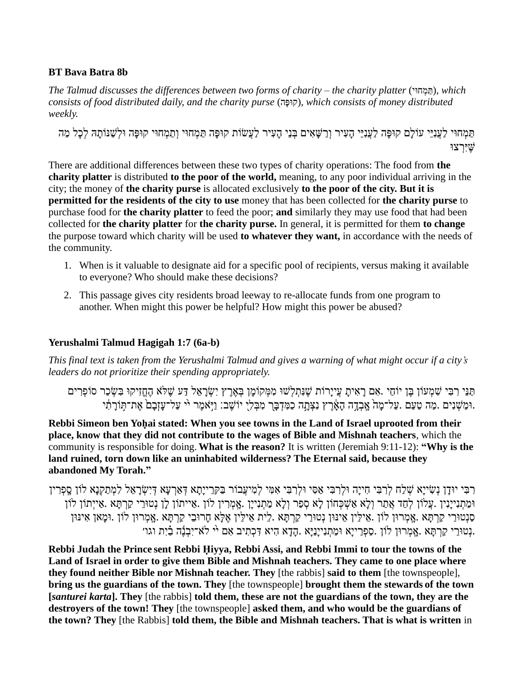### **BT Bava Batra 8b**

*The Talmud discusses the differences between two forms of charity – the charity platter* (ויּח ְמ ַת(*, which consists of food distributed daily, and the charity purse* (הָופּק(*, which consists of money distributed weekly.* 

תַּמְחוּי לַעֲנָיֵי עֹוֹלָם קוּפָּה לַעֲנָיֵי הָעִיר וְרַשָּׁאִים בְּנֵי הָעִיר לַעֲשׂוֹת קוּפַּה תַּמְחוּי וְתַמְחוּי קוּפַּה וּלִשָׁנּוֹתַהּ לִכַל מַה שֶּ יִרְ צּו

There are additional differences between these two types of charity operations: The food from **the charity platter** is distributed **to the poor of the world,** meaning, to any poor individual arriving in the city; the money of **the charity purse** is allocated exclusively **to the poor of the city. But it is permitted for the residents of the city to use** money that has been collected for **the charity purse** to purchase food for **the charity platter** to feed the poor; **and** similarly they may use food that had been collected for **the charity platter** for **the charity purse.** In general, it is permitted for them **to change** the purpose toward which charity will be used **to whatever they want,** in accordance with the needs of the community.

- 1. When is it valuable to designate aid for a specific pool of recipients, versus making it available to everyone? Who should make these decisions?
- 2. This passage gives city residents broad leeway to re-allocate funds from one program to another. When might this power be helpful? How might this power be abused?

# **Yerushalmi Talmud Hagigah 1:7 (6a-b)**

*This final text is taken from the Yerushalmi Talmud and gives a warning of what might occur if a city's leaders do not prioritize their spending appropriately.*

תַּנֵּי רִבְּי שָׁמְעֹוֹן בֵּן יוֹחַי .אִם רַאִיתַ עֲייַרוֹת שֶׁנְתִלְשׁוּ מִמְקוֹמֵן בְּאֶרֵץ יִשְׂרַאֱל דַּע שֶׁלֹּא הֶחֱזִיקוּ בִשְׂכַר סוֹפְרִים וּמַשָׁנִים .מַה טַעַם .עַל־מַה אָבְדָה האָרִץ נַצִּתָה כַּמֵּדְבַּר מִבְּלִי יוֹשֶׁבַ: וַיִּאָמֶר יוּ עַל־עזָבם אֶת־תִּוֹרתִ֫י י

**Rebbi Simeon ben Yoḥai stated: When you see towns in the Land of Israel uprooted from their place, know that they did not contribute to the wages of Bible and Mishnah teachers**, which the community is responsible for doing. **What is the reason?** It is written (Jeremiah 9:11-12): **"Why is the land ruined, torn down like an uninhabited wilderness? The Eternal said, because they abandoned My Torah."**

ּרְבִּי יוּדַן נְשִׂייַא שָׁלָה לִרְבִּי חִייַה וּלִרְבִּי אַסִּי וּלִרְבִּי אָמִי לִמִיעֲבוֹר בַּקְרֵייַתַא דְּאֲרְעַא דְיִשְׂרַאֵל לִמְתַקְנַא לוֹן סַפְרִין וּמַתְנִייַנִין .עֲלֹוֹן לְחַד אֲתַר וְלָא אַשְׁכָחוֹן לַא סְפַר וְלַא מַתְנִייַן .אֲמְרִין לוֹן .אַייתוֹן לוַ סַנְטּוּרֵי קַרְתַּא .אָמְרוּוְ לֹוֹן .וּמַאוְ אִינּוּן נִטוּרֵי קַרְתַּא .אָמְרוּוְ לֹוֹן .וּמַאוְ אִינּוּן .נְטוּרֵי קַרְתָּא .אֲמִרוּן לוֹן .סַפְרֵייָא וּמַתִנִייָנַיָּא הָדָא הִיא דִּכְתִיב אִם יֹי לֹא־יִבְנֶה בַיִת וגו׳

**Rebbi Judah the Prince sent Rebbi Ḥiyya, Rebbi Assi, and Rebbi Immi to tour the towns of the Land of Israel in order to give them Bible and Mishnah teachers. They came to one place where they found neither Bible nor Mishnah teacher. They** [the rabbis] **said to them** [the townspeople], **bring us the guardians of the town. They** [the townspeople] **brought them the stewards of the town [***santurei karta***]. They** [the rabbis] **told them, these are not the guardians of the town, they are the destroyers of the town! They** [the townspeople] **asked them, and who would be the guardians of the town? They** [the Rabbis] **told them, the Bible and Mishnah teachers. That is what is written** in